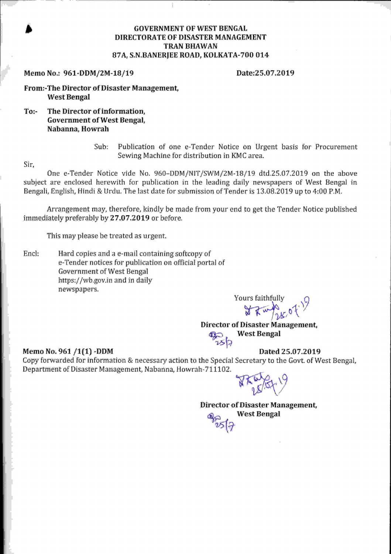#### **GOVERNMENT OF WEST BENGAL DIRECTORATE OF DISASTER MANAGEMENT TRAN BHAWAN** 87A, S.N.BANERIEE ROAD, KOLKATA-700 014

#### Memo No.: 961-DDM/2M-18/19

#### Date:25.07.2019

From:-The Director of Disaster Management, **West Bengal** 

 $To:$ The Director of information, **Government of West Bengal,** Nabanna, Howrah

> Publication of one e-Tender Notice on Urgent basis for Procurement Sub: Sewing Machine for distribution in KMC area.

Sir.

One e-Tender Notice vide No. 960-DDM/NIT/SWM/2M-18/19 dtd.25.07.2019 on the above subject are enclosed herewith for publication in the leading daily newspapers of West Bengal in Bengali, English, Hindi & Urdu. The last date for submission of Tender is 13.08.2019 up to 4:00 P.M.

Arrangement may, therefore, kindly be made from your end to get the Tender Notice published immediately preferably by 27.07.2019 or before.

This may please be treated as urgent.

Encl: Hard copies and a e-mail containing softcopy of e-Tender notices for publication on official portal of **Government of West Bengal** https://wb.gov.in and in daily newspapers.

Yours faithfully

Director of Disaster Management, **West Bengal** つろね

#### Memo No. 961 /1(1) -DDM

Dated 25.07.2019

Copy forwarded for information & necessary action to the Special Secretary to the Govt. of West Bengal, Department of Disaster Management, Nabanna, Howrah-711102.

Director of Disaster Management, **West Bengal**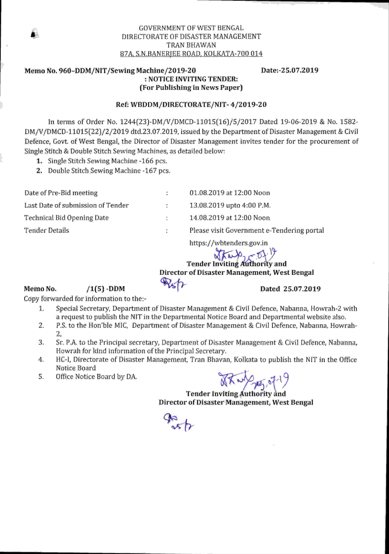#### **GOVERNMENT OF WEST BENGAL** DIRECTORATE OF DISASTER MANAGEMENT TRAN BHAWAN 87A, S.N.BANERJEE ROAD, KOLKATA-700 014

#### Memo No. 960-DDM/NIT/Sewing Machine/2019-20 : NOTICE INVITING TENDER: (For Publishing in News Paper)

Date: 25.07.2019

Dated 25.07.2019

#### Ref: WBDDM/DIRECTORATE/NIT-4/2019-20

In terms of Order No. 1244(23)-DM/V/DMCD-11015(16)/5/2017 Dated 19-06-2019 & No. 1582-DM/V/DMCD-11015(22)/2/2019 dtd.23.07.2019, issued by the Department of Disaster Management & Civil Defence, Govt. of West Bengal, the Director of Disaster Management invites tender for the procurement of Single Stitch & Double Stitch Sewing Machines, as detailed below:

1. Single Stitch Sewing Machine -166 pcs.

2. Double Stitch Sewing Machine -167 pcs.

| Date of Pre-Bid meeting           | ÷.           | 01.08.2019 at 12:00 Noon                                                   |
|-----------------------------------|--------------|----------------------------------------------------------------------------|
| Last Date of submission of Tender | $\mathbb{Z}$ | 13.08.2019 upto 4:00 P.M.                                                  |
| Technical Bid Opening Date        | ÷.           | 14.08.2019 at 12:00 Noon                                                   |
| Tender Details                    | ÷.           | Please visit Government e-Tendering portal                                 |
|                                   |              | https://wbtenders.gov.in<br>$\mathbf{A}$ and $\mathbf{A}$ and $\mathbf{A}$ |

Tender Inviting Authority and Director of Disaster Management, West Bengal

#### Memo No.

Copy forwarded for information to the:-

 $/1(5)$  -DDM

- 1. Special Secretary, Department of Disaster Management & Civil Defence, Nabanna, Howrah-2 with a request to publish the NIT in the Departmental Notice Board and Departmental website also.
- 2. P.S. to the Hon'ble MIC, Department of Disaster Management & Civil Defence, Nabanna, Howrah-2,
- 3. Sr. P.A. to the Principal secretary, Department of Disaster Management & Civil Defence, Nabanna, Howrah for kind information of the Principal Secretary.
- 4. HC-I, Directorate of Disaster Management, Tran Bhavan, Kolkata to publish the NIT in the Office Notice Board
- 5. Office Notice Board by DA.

 $X \rightarrow 4$ 

**Tender Inviting Authority and** Director of Disaster Management, West Bengal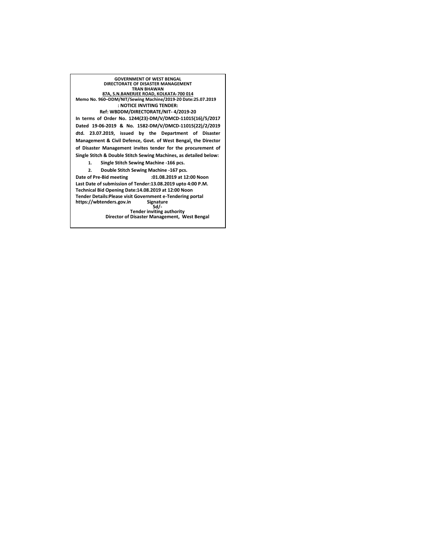**GOVERNMENT OF WEST BENGAL DIRECTORATE OF DISASTER MANAGEMENT TRAN BHAWAN 87A, S.N.BANERJEE ROAD, KOLKATA-700 014 Memo No. 960–DDM/NIT/Sewing Machine/2019-20 Date:25.07.2019 : NOTICE INVITING TENDER: Ref: WBDDM/DIRECTORATE/NIT- 4/2019-20 In terms of Order No. 1244(23)-DM/V/DMCD-11015(16)/5/2017 Dated 19-06-2019 & No. 1582-DM/V/DMCD-11015(22)/2/2019 dtd. 23.07.2019, issued by the Department of Disaster Management & Civil Defence, Govt. of West Bengal, the Director of Disaster Management invites tender for the procurement of Single Stitch & Double Stitch Sewing Machines, as detailed below: 1. Single Stitch Sewing Machine -166 pcs. 2. Double Stitch Sewing Machine -167 pcs. Date of Pre-Bid meeting :01.08.2019 at 12:00 Noon Last Date of submission of Tender:13.08.2019 upto 4:00 P.M. Technical Bid Opening Date:14.08.2019 at 12:00 Noon Tender Details:Please visit Government e-Tendering portal https://wbtenders.gov.in Signature**

**Sd/- Tender inviting authority Director of Disaster Management, West Bengal**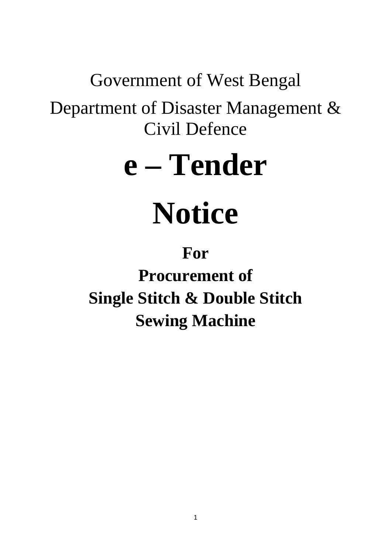# Government of West Bengal

Department of Disaster Management & Civil Defence

# **e – Tender**

# **Notice**

# **For**

**Procurement of Single Stitch & Double Stitch Sewing Machine**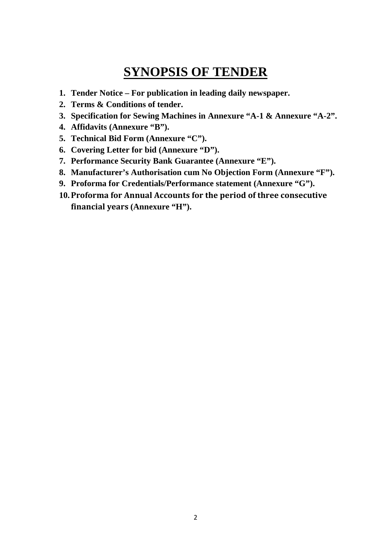## **SYNOPSIS OF TENDER**

- **1. Tender Notice For publication in leading daily newspaper.**
- **2. Terms & Conditions of tender.**
- **3. Specification for Sewing Machines in Annexure "A-1 & Annexure "A-2".**
- **4. Affidavits (Annexure "B").**
- **5. Technical Bid Form (Annexure "C").**
- **6. Covering Letter for bid (Annexure "D").**
- **7. Performance Security Bank Guarantee (Annexure "E").**
- **8. Manufacturer's Authorisation cum No Objection Form (Annexure "F").**
- **9. Proforma for Credentials/Performance statement (Annexure "G").**
- **10.Proforma for Annual Accounts for the period of three consecutive financial years (Annexure "H").**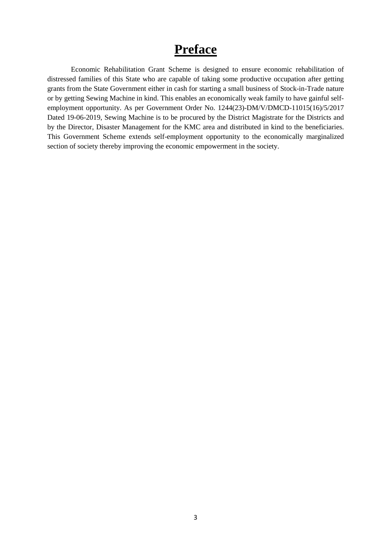## **Preface**

Economic Rehabilitation Grant Scheme is designed to ensure economic rehabilitation of distressed families of this State who are capable of taking some productive occupation after getting grants from the State Government either in cash for starting a small business of Stock-in-Trade nature or by getting Sewing Machine in kind. This enables an economically weak family to have gainful selfemployment opportunity. As per Government Order No. 1244(23)-DM/V/DMCD-11015(16)/5/2017 Dated 19-06-2019, Sewing Machine is to be procured by the District Magistrate for the Districts and by the Director, Disaster Management for the KMC area and distributed in kind to the beneficiaries. This Government Scheme extends self-employment opportunity to the economically marginalized section of society thereby improving the economic empowerment in the society.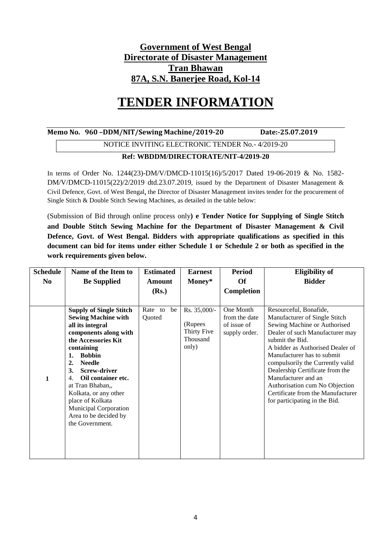#### **Government of West Bengal Directorate of Disaster Management Tran Bhawan 87A, S.N. Banerjee Road, Kol-14**

## **TENDER INFORMATION**

#### **Memo No. 960 –DDM/NIT/Sewing Machine/2019-20 Date:-25.07.2019**

#### NOTICE INVITING ELECTRONIC TENDER No.- 4/2019-20

#### **Ref: WBDDM/DIRECTORATE/NIT-4/2019-20**

In terms of Order No. 1244(23)-DM/V/DMCD-11015(16)/5/2017 Dated 19-06-2019 & No. 1582- DM/V/DMCD-11015(22)/2/2019 dtd.23.07.2019, issued by the Department of Disaster Management & Civil Defence, Govt. of West Bengal, the Director of Disaster Management invites tender for the procurement of Single Stitch & Double Stitch Sewing Machines, as detailed in the table below:

(Submission of Bid through online process only**) e Tender Notice for Supplying of Single Stitch and Double Stitch Sewing Machine for the Department of Disaster Management & Civil Defence, Govt. of West Bengal. Bidders with appropriate qualifications as specified in this document can bid for items under either Schedule 1 or Schedule 2 or both as specified in the work requirements given below.** 

| <b>Schedule</b> | Name of the Item to                                                                                                                                            | <b>Estimated</b>        | <b>Earnest</b>                         | <b>Period</b>                                              | <b>Eligibility of</b>                                                                                                                                    |
|-----------------|----------------------------------------------------------------------------------------------------------------------------------------------------------------|-------------------------|----------------------------------------|------------------------------------------------------------|----------------------------------------------------------------------------------------------------------------------------------------------------------|
| No.             | <b>Be Supplied</b>                                                                                                                                             | <b>Amount</b>           | Money*                                 | <b>Of</b>                                                  | <b>Bidder</b>                                                                                                                                            |
|                 |                                                                                                                                                                | (Rs.)                   |                                        | Completion                                                 |                                                                                                                                                          |
|                 | <b>Supply of Single Stitch</b><br><b>Sewing Machine with</b><br>all its integral<br>components along with                                                      | Rate to<br>be<br>Quoted | Rs. 35,000/-<br>(Rupees<br>Thirty Five | One Month<br>from the date<br>of issue of<br>supply order. | Resourceful, Bonafide,<br>Manufacturer of Single Stitch<br>Sewing Machine or Authorised<br>Dealer of such Manufacturer may                               |
|                 | the Accessories Kit<br>containing<br><b>Bobbin</b><br>1.<br>2.<br><b>Needle</b><br><b>Screw-driver</b><br>3.                                                   |                         | Thousand<br>only)                      |                                                            | submit the Bid.<br>A bidder as Authorised Dealer of<br>Manufacturer has to submit<br>compulsorily the Currently valid<br>Dealership Certificate from the |
| 1               | Oil container etc.<br>4.<br>at Tran Bhaban,,<br>Kolkata, or any other<br>place of Kolkata<br>Municipal Corporation<br>Area to be decided by<br>the Government. |                         |                                        |                                                            | Manufacturer and an<br>Authorisation cum No Objection<br>Certificate from the Manufacturer<br>for participating in the Bid.                              |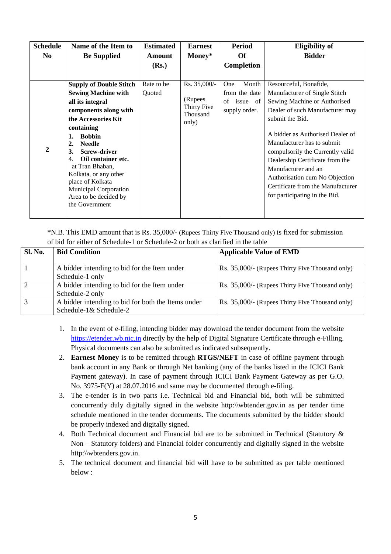| <b>Schedule</b><br>N <sub>0</sub> | Name of the Item to<br><b>Be Supplied</b>                                                                                                                                                                                                                                                                                                                                                               | <b>Estimated</b><br><b>Amount</b><br>(Rs.) | <b>Earnest</b><br>Money*                                     | <b>Period</b><br>Of<br>Completion                                | <b>Eligibility of</b><br><b>Bidder</b>                                                                                                                                                                                                                                                                                                                                                                                |
|-----------------------------------|---------------------------------------------------------------------------------------------------------------------------------------------------------------------------------------------------------------------------------------------------------------------------------------------------------------------------------------------------------------------------------------------------------|--------------------------------------------|--------------------------------------------------------------|------------------------------------------------------------------|-----------------------------------------------------------------------------------------------------------------------------------------------------------------------------------------------------------------------------------------------------------------------------------------------------------------------------------------------------------------------------------------------------------------------|
| $\overline{2}$                    | <b>Supply of Double Stitch</b><br><b>Sewing Machine with</b><br>all its integral<br>components along with<br>the Accessories Kit<br>containing<br><b>Bobbin</b><br>1.<br><b>Needle</b><br>$\overline{2}$ .<br><b>Screw-driver</b><br>3.<br>Oil container etc.<br>4.<br>at Tran Bhaban,<br>Kolkata, or any other<br>place of Kolkata<br>Municipal Corporation<br>Area to be decided by<br>the Government | Rate to be<br>Quoted                       | Rs. 35,000/-<br>(Rupees)<br>Thirty Five<br>Thousand<br>only) | Month<br>One<br>from the date<br>of<br>issue of<br>supply order. | Resourceful, Bonafide,<br>Manufacturer of Single Stitch<br>Sewing Machine or Authorised<br>Dealer of such Manufacturer may<br>submit the Bid.<br>A bidder as Authorised Dealer of<br>Manufacturer has to submit<br>compulsorily the Currently valid<br>Dealership Certificate from the<br>Manufacturer and an<br>Authorisation cum No Objection<br>Certificate from the Manufacturer<br>for participating in the Bid. |

\*N.B. This EMD amount that is Rs. 35,000/- (Rupees Thirty Five Thousand only) is fixed for submission of bid for either of Schedule-1 or Schedule-2 or both as clarified in the table

| <b>Sl. No.</b> | <b>Bid Condition</b>                                                         | <b>Applicable Value of EMD</b>                  |
|----------------|------------------------------------------------------------------------------|-------------------------------------------------|
|                | A bidder intending to bid for the Item under<br>Schedule-1 only              | Rs. 35,000/- (Rupees Thirty Five Thousand only) |
|                | A bidder intending to bid for the Item under<br>Schedule-2 only              | Rs. 35,000/- (Rupees Thirty Five Thousand only) |
|                | A bidder intending to bid for both the Items under<br>Schedule-1& Schedule-2 | Rs. 35,000/- (Rupees Thirty Five Thousand only) |

- 1. In the event of e-filing, intending bidder may download the tender document from the website https://etender.wb.nic.in directly by the help of Digital Signature Certificate through e-Filling. Physical documents can also be submitted as indicated subsequently.
- 2. **Earnest Money** is to be remitted through **RTGS/NEFT** in case of offline payment through bank account in any Bank or through Net banking (any of the banks listed in the ICICI Bank Payment gateway). In case of payment through ICICI Bank Payment Gateway as per G.O. No. 3975-F(Y) at 28.07.2016 and same may be documented through e-filing.
- 3. The e-tender is in two parts i.e. Technical bid and Financial bid, both will be submitted concurrently duly digitally signed in the website http:\\wbtender.gov.in as per tender time schedule mentioned in the tender documents. The documents submitted by the bidder should be properly indexed and digitally signed.
- 4. Both Technical document and Financial bid are to be submitted in Technical (Statutory & Non – Statutory folders) and Financial folder concurrently and digitally signed in the website http:\\wbtenders.gov.in.
- 5. The technical document and financial bid will have to be submitted as per table mentioned below :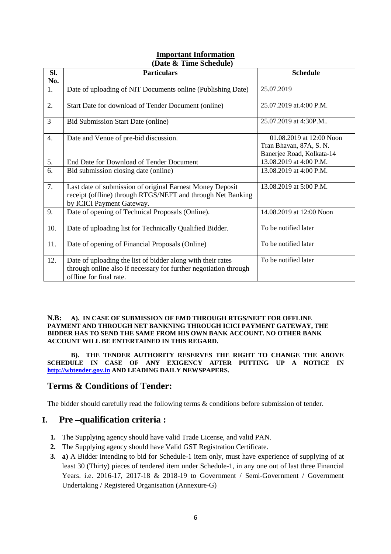#### **Important Information (Date & Time Schedule)**

| SI.              | <b>Particulars</b>                                                                                                                                         | <b>Schedule</b>                                                                  |  |  |
|------------------|------------------------------------------------------------------------------------------------------------------------------------------------------------|----------------------------------------------------------------------------------|--|--|
| No.              |                                                                                                                                                            |                                                                                  |  |  |
| 1.               | Date of uploading of NIT Documents online (Publishing Date)                                                                                                | 25.07.2019                                                                       |  |  |
| 2.               | Start Date for download of Tender Document (online)                                                                                                        | 25.07.2019 at.4:00 P.M.                                                          |  |  |
| $\overline{3}$   | <b>Bid Submission Start Date (online)</b>                                                                                                                  | 25.07.2019 at 4:30P.M                                                            |  |  |
| $\overline{4}$ . | Date and Venue of pre-bid discussion.                                                                                                                      | 01.08.2019 at 12:00 Noon<br>Tran Bhavan, 87A, S. N.<br>Banerjee Road, Kolkata-14 |  |  |
| 5.               | End Date for Download of Tender Document                                                                                                                   | 13.08.2019 at 4:00 P.M.                                                          |  |  |
| 6.               | Bid submission closing date (online)                                                                                                                       | 13.08.2019 at 4:00 P.M.                                                          |  |  |
| 7.               | Last date of submission of original Earnest Money Deposit<br>receipt (offline) through RTGS/NEFT and through Net Banking<br>by ICICI Payment Gateway.      | 13.08.2019 at 5:00 P.M.                                                          |  |  |
| 9.               | Date of opening of Technical Proposals (Online).                                                                                                           | 14.08.2019 at 12:00 Noon                                                         |  |  |
| 10.              | Date of uploading list for Technically Qualified Bidder.                                                                                                   | To be notified later                                                             |  |  |
| 11.              | Date of opening of Financial Proposals (Online)                                                                                                            | To be notified later                                                             |  |  |
| 12.              | Date of uploading the list of bidder along with their rates<br>through online also if necessary for further negotiation through<br>offline for final rate. | To be notified later                                                             |  |  |

#### **N.B: A). IN CASE OF SUBMISSION OF EMD THROUGH RTGS/NEFT FOR OFFLINE PAYMENT AND THROUGH NET BANKNING THROUGH ICICI PAYMENT GATEWAY, THE BIDDER HAS TO SEND THE SAME FROM HIS OWN BANK ACCOUNT. NO OTHER BANK ACCOUNT WILL BE ENTERTAINED IN THIS REGARD.**

 **B). THE TENDER AUTHORITY RESERVES THE RIGHT TO CHANGE THE ABOVE SCHEDULE IN CASE OF ANY EXIGENCY AFTER PUTTING UP A NOTICE IN http://wbtender.gov.in AND LEADING DAILY NEWSPAPERS.** 

#### **Terms & Conditions of Tender:**

The bidder should carefully read the following terms  $\&$  conditions before submission of tender.

#### **I. Pre –qualification criteria :**

- **1.** The Supplying agency should have valid Trade License, and valid PAN.
- **2.** The Supplying agency should have Valid GST Registration Certificate.
- **3. a)** A Bidder intending to bid for Schedule-1 item only, must have experience of supplying of at least 30 (Thirty) pieces of tendered item under Schedule-1, in any one out of last three Financial Years. i.e. 2016-17, 2017-18 & 2018-19 to Government / Semi-Government / Government Undertaking / Registered Organisation (Annexure-G)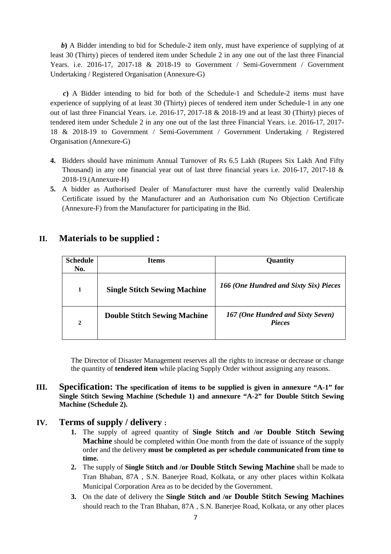*b*) A Bidder intending to bid for Schedule-2 item only, must have experience of supplying of at least 30 (Thirty) pieces of tendered item under Schedule 2 in any one out of the last three Financial Years. i.e. 2016-17, 2017-18 & 2018-19 to Government / Semi-Government / Government Undertaking / Registered Organisation (Annexure-G)

 *c***)** A Bidder intending to bid for both of the Schedule-1 and Schedule-2 items must have experience of supplying of at least 30 (Thirty) pieces of tendered item under Schedule-1 in any one out of last three Financial Years. i.e. 2016-17, 2017-18 & 2018-19 and at least 30 (Thirty) pieces of tendered item under Schedule 2 in any one out of the last three Financial Years. i.e. 2016-17, 2017- 18 & 2018-19 to Government / Semi-Government / Government Undertaking / Registered Organisation (Annexure-G)

- **4.** Bidders should have minimum Annual Turnover of Rs 6.5 Lakh (Rupees Six Lakh And Fifty Thousand) in any one financial year out of last three financial years i.e.  $2016-17$ ,  $2017-18$  & 2018-19.(Annexure-H)
- **5.** A bidder as Authorised Dealer of Manufacturer must have the currently valid Dealership Certificate issued by the Manufacturer and an Authorisation cum No Objection Certificate (Annexure-F) from the Manufacturer for participating in the Bid.

#### **II. Materials to be supplied :**

| <b>Schedule</b><br>No. | <b>Items</b>                        | <b>Quantity</b>                                    |
|------------------------|-------------------------------------|----------------------------------------------------|
| 1                      | <b>Single Stitch Sewing Machine</b> | 166 (One Hundred and Sixty Six) Pieces             |
| $\overline{2}$         | <b>Double Stitch Sewing Machine</b> | 167 (One Hundred and Sixty Seven)<br><b>Pieces</b> |

The Director of Disaster Management reserves all the rights to increase or decrease or change the quantity of **tendered item** while placing Supply Order without assigning any reasons.

**III. Specification: The specification of items to be supplied is given in annexure "A-1" for Single Stitch Sewing Machine (Schedule 1) and annexure "A-2" for Double Stitch Sewing Machine (Schedule 2).** 

#### **IV. Terms of supply / delivery :**

- **1.** The supply of agreed quantity of **Single Stitch and /or Double Stitch Sewing Machine** should be completed within One month from the date of issuance of the supply order and the delivery **must be completed as per schedule communicated from time to time.**
- **2.** The supply of **Single Stitch and /or Double Stitch Sewing Machine** shall be made to Tran Bhaban, 87A , S.N. Banerjee Road, Kolkata, or any other places within Kolkata Municipal Corporation Area as to be decided by the Government.
- **3.** On the date of delivery the **Single Stitch and /or Double Stitch Sewing Machines**  should reach to the Tran Bhaban, 87A , S.N. Banerjee Road, Kolkata, or any other places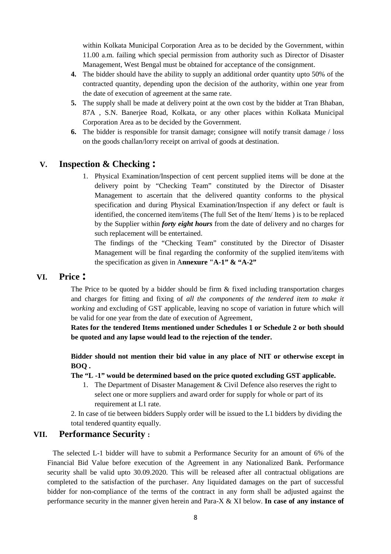within Kolkata Municipal Corporation Area as to be decided by the Government, within 11.00 a.m. failing which special permission from authority such as Director of Disaster Management, West Bengal must be obtained for acceptance of the consignment.

- **4.** The bidder should have the ability to supply an additional order quantity upto 50% of the contracted quantity, depending upon the decision of the authority, within one year from the date of execution of agreement at the same rate.
- **5.** The supply shall be made at delivery point at the own cost by the bidder at Tran Bhaban, 87A , S.N. Banerjee Road, Kolkata, or any other places within Kolkata Municipal Corporation Area as to be decided by the Government.
- **6.** The bidder is responsible for transit damage; consignee will notify transit damage / loss on the goods challan/lorry receipt on arrival of goods at destination.

#### **V. Inspection & Checking :**

1. Physical Examination/Inspection of cent percent supplied items will be done at the delivery point by "Checking Team" constituted by the Director of Disaster Management to ascertain that the delivered quantity conforms to the physical specification and during Physical Examination/Inspection if any defect or fault is identified, the concerned item/items (The full Set of the Item/ Items ) is to be replaced by the Supplier within *forty eight hours* from the date of delivery and no charges for such replacement will be entertained.

The findings of the "Checking Team" constituted by the Director of Disaster Management will be final regarding the conformity of the supplied item/items with the specification as given in A**nnexure "A-1" & "A-2"** 

#### **VI. Price :**

The Price to be quoted by a bidder should be firm & fixed including transportation charges and charges for fitting and fixing of *all the components of the tendered item to make it working* and excluding of GST applicable, leaving no scope of variation in future which will be valid for one year from the date of execution of Agreement,

**Rates for the tendered Items mentioned under Schedules 1 or Schedule 2 or both should be quoted and any lapse would lead to the rejection of the tender.** 

**Bidder should not mention their bid value in any place of NIT or otherwise except in BOQ .** 

#### **The "L -1" would be determined based on the price quoted excluding GST applicable.**

1. The Department of Disaster Management & Civil Defence also reserves the right to select one or more suppliers and award order for supply for whole or part of its requirement at L1 rate.

2. In case of tie between bidders Supply order will be issued to the L1 bidders by dividing the total tendered quantity equally.

#### **VII. Performance Security :**

 The selected L-1 bidder will have to submit a Performance Security for an amount of 6% of the Financial Bid Value before execution of the Agreement in any Nationalized Bank. Performance security shall be valid upto 30.09.2020. This will be released after all contractual obligations are completed to the satisfaction of the purchaser. Any liquidated damages on the part of successful bidder for non-compliance of the terms of the contract in any form shall be adjusted against the performance security in the manner given herein and Para-X & XI below. **In case of any instance of**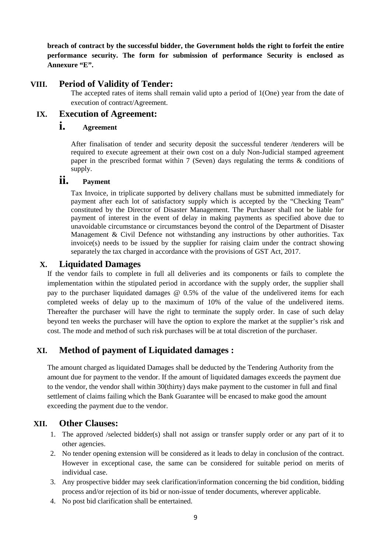**breach of contract by the successful bidder, the Government holds the right to forfeit the entire performance security. The form for submission of performance Security is enclosed as Annexure "E".** 

#### **VIII. Period of Validity of Tender:**

The accepted rates of items shall remain valid upto a period of 1(One) year from the date of execution of contract/Agreement.

#### **IX. Execution of Agreement:**

#### **i. Agreement**

After finalisation of tender and security deposit the successful tenderer /tenderers will be required to execute agreement at their own cost on a duly Non-Judicial stamped agreement paper in the prescribed format within 7 (Seven) days regulating the terms & conditions of supply.

#### **ii. Payment**

Tax Invoice, in triplicate supported by delivery challans must be submitted immediately for payment after each lot of satisfactory supply which is accepted by the "Checking Team" constituted by the Director of Disaster Management. The Purchaser shall not be liable for payment of interest in the event of delay in making payments as specified above due to unavoidable circumstance or circumstances beyond the control of the Department of Disaster Management & Civil Defence not withstanding any instructions by other authorities. Tax invoice(s) needs to be issued by the supplier for raising claim under the contract showing separately the tax charged in accordance with the provisions of GST Act, 2017.

#### **X. Liquidated Damages**

If the vendor fails to complete in full all deliveries and its components or fails to complete the implementation within the stipulated period in accordance with the supply order, the supplier shall pay to the purchaser liquidated damages @ 0.5% of the value of the undelivered items for each completed weeks of delay up to the maximum of 10% of the value of the undelivered items. Thereafter the purchaser will have the right to terminate the supply order. In case of such delay beyond ten weeks the purchaser will have the option to explore the market at the supplier's risk and cost. The mode and method of such risk purchases will be at total discretion of the purchaser.

#### **XI. Method of payment of Liquidated damages :**

The amount charged as liquidated Damages shall be deducted by the Tendering Authority from the amount due for payment to the vendor. If the amount of liquidated damages exceeds the payment due to the vendor, the vendor shall within 30(thirty) days make payment to the customer in full and final settlement of claims failing which the Bank Guarantee will be encased to make good the amount exceeding the payment due to the vendor.

#### **XII. Other Clauses:**

- 1. The approved /selected bidder(s) shall not assign or transfer supply order or any part of it to other agencies.
- 2. No tender opening extension will be considered as it leads to delay in conclusion of the contract. However in exceptional case, the same can be considered for suitable period on merits of individual case.
- 3. Any prospective bidder may seek clarification/information concerning the bid condition, bidding process and/or rejection of its bid or non-issue of tender documents, wherever applicable.
- 4. No post bid clarification shall be entertained.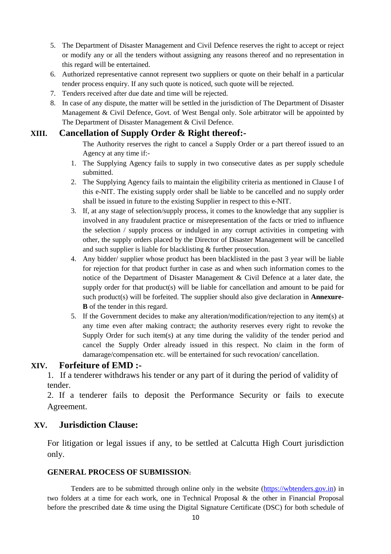- 5. The Department of Disaster Management and Civil Defence reserves the right to accept or reject or modify any or all the tenders without assigning any reasons thereof and no representation in this regard will be entertained.
- 6. Authorized representative cannot represent two suppliers or quote on their behalf in a particular tender process enquiry. If any such quote is noticed, such quote will be rejected.
- 7. Tenders received after due date and time will be rejected.
- 8. In case of any dispute, the matter will be settled in the jurisdiction of The Department of Disaster Management & Civil Defence, Govt. of West Bengal only. Sole arbitrator will be appointed by The Department of Disaster Management & Civil Defence.

#### **XIII. Cancellation of Supply Order & Right thereof:-**

The Authority reserves the right to cancel a Supply Order or a part thereof issued to an Agency at any time if:-

- 1. The Supplying Agency fails to supply in two consecutive dates as per supply schedule submitted.
- 2. The Supplying Agency fails to maintain the eligibility criteria as mentioned in Clause I of this e-NIT. The existing supply order shall be liable to be cancelled and no supply order shall be issued in future to the existing Supplier in respect to this e-NIT.
- 3. If, at any stage of selection/supply process, it comes to the knowledge that any supplier is involved in any fraudulent practice or misrepresentation of the facts or tried to influence the selection / supply process or indulged in any corrupt activities in competing with other, the supply orders placed by the Director of Disaster Management will be cancelled and such supplier is liable for blacklisting & further prosecution.
- 4. Any bidder/ supplier whose product has been blacklisted in the past 3 year will be liable for rejection for that product further in case as and when such information comes to the notice of the Department of Disaster Management & Civil Defence at a later date, the supply order for that product(s) will be liable for cancellation and amount to be paid for such product(s) will be forfeited. The supplier should also give declaration in **Annexure-B** of the tender in this regard.
- 5. If the Government decides to make any alteration/modification/rejection to any item(s) at any time even after making contract; the authority reserves every right to revoke the Supply Order for such item(s) at any time during the validity of the tender period and cancel the Supply Order already issued in this respect. No claim in the form of damarage/compensation etc. will be entertained for such revocation/ cancellation.

#### **XIV. Forfeiture of EMD :-**

1. If a tenderer withdraws his tender or any part of it during the period of validity of tender.

2. If a tenderer fails to deposit the Performance Security or fails to execute Agreement.

#### **XV. Jurisdiction Clause:**

For litigation or legal issues if any, to be settled at Calcutta High Court jurisdiction only.

#### **GENERAL PROCESS OF SUBMISSION:**

Tenders are to be submitted through online only in the website (https://wbtenders.gov.in) in two folders at a time for each work, one in Technical Proposal & the other in Financial Proposal before the prescribed date & time using the Digital Signature Certificate (DSC) for both schedule of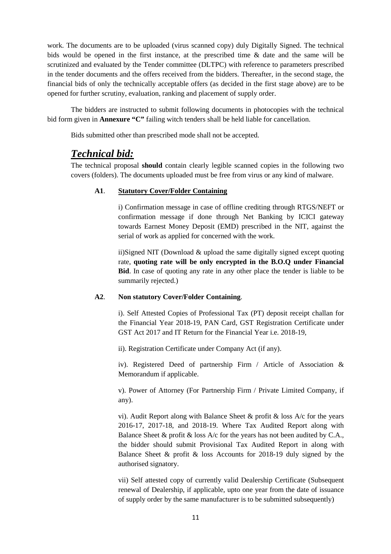work. The documents are to be uploaded (virus scanned copy) duly Digitally Signed. The technical bids would be opened in the first instance, at the prescribed time & date and the same will be scrutinized and evaluated by the Tender committee (DLTPC) with reference to parameters prescribed in the tender documents and the offers received from the bidders. Thereafter, in the second stage, the financial bids of only the technically acceptable offers (as decided in the first stage above) are to be opened for further scrutiny, evaluation, ranking and placement of supply order.

The bidders are instructed to submit following documents in photocopies with the technical bid form given in **Annexure "C"** failing witch tenders shall be held liable for cancellation.

Bids submitted other than prescribed mode shall not be accepted.

#### *Technical bid:*

The technical proposal **should** contain clearly legible scanned copies in the following two covers (folders). The documents uploaded must be free from virus or any kind of malware.

#### **A1**. **Statutory Cover/Folder Containing**

i) Confirmation message in case of offline crediting through RTGS/NEFT or confirmation message if done through Net Banking by ICICI gateway towards Earnest Money Deposit (EMD) prescribed in the NIT, against the serial of work as applied for concerned with the work.

ii)Signed NIT (Download & upload the same digitally signed except quoting rate, **quoting rate will be only encrypted in the B.O.Q under Financial Bid**. In case of quoting any rate in any other place the tender is liable to be summarily rejected.)

#### **A2**. **Non statutory Cover/Folder Containing**.

i). Self Attested Copies of Professional Tax (PT) deposit receipt challan for the Financial Year 2018-19, PAN Card, GST Registration Certificate under GST Act 2017 and IT Return for the Financial Year i.e. 2018-19,

ii). Registration Certificate under Company Act (if any).

iv). Registered Deed of partnership Firm / Article of Association & Memorandum if applicable.

v). Power of Attorney (For Partnership Firm / Private Limited Company, if any).

vi). Audit Report along with Balance Sheet & profit & loss A/c for the years 2016-17, 2017-18, and 2018-19. Where Tax Audited Report along with Balance Sheet  $\&$  profit  $\&$  loss A/c for the years has not been audited by C.A., the bidder should submit Provisional Tax Audited Report in along with Balance Sheet & profit & loss Accounts for 2018-19 duly signed by the authorised signatory.

vii) Self attested copy of currently valid Dealership Certificate (Subsequent renewal of Dealership, if applicable, upto one year from the date of issuance of supply order by the same manufacturer is to be submitted subsequently)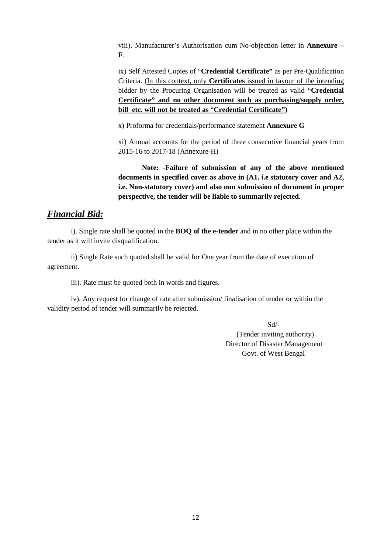viii). Manufacturer's Authorisation cum No-objection letter in **Annexure – F**.

ix) Self Attested Copies of "**Credential Certificate"** as per Pre-Qualification Criteria. (In this context, only **Certificates** issued in favour of the intending bidder by the Procuring Organisation will be treated as valid "**Credential Certificate" and no other document such as purchasing/supply order, bill etc. will not be treated as** "**Credential Certificate")** 

x) Proforma for credentials/performance statement **Annexure G** 

xi) Annual accounts for the period of three consecutive financial years from 2015-16 to 2017-18 (Annexure-H)

**Note: -Failure of submission of any of the above mentioned documents in specified cover as above in (A1. i.e statutory cover and A2, i.e. Non-statutory cover) and also non submission of document in proper perspective, the tender will be liable to summarily rejected**.

#### *Financial Bid:*

 i). Single rate shall be quoted in the **BOQ of the e-tender** and in no other place within the tender as it will invite disqualification.

 ii) Single Rate such quoted shall be valid for One year from the date of execution of agreement.

iii). Rate must be quoted both in words and figures.

 iv). Any request for change of rate after submission/ finalisation of tender or within the validity period of tender will summarily be rejected.

 Sd/- (Tender inviting authority) Director of Disaster Management Govt. of West Bengal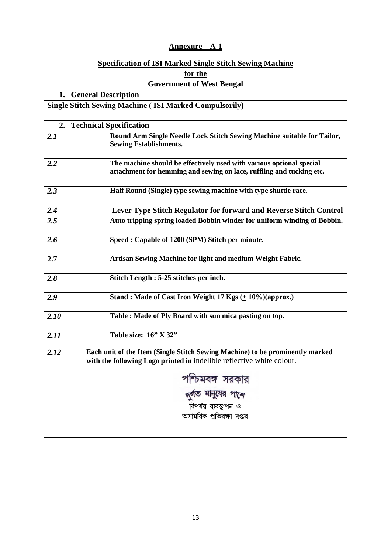#### **Annexure – A-1**

#### **Specification of ISI Marked Single Stitch Sewing Machine**

**for the** 

#### **Government of West Bengal**

|      | 1. General Description                                                                                                                                 |
|------|--------------------------------------------------------------------------------------------------------------------------------------------------------|
|      | <b>Single Stitch Sewing Machine (ISI Marked Compulsorily)</b>                                                                                          |
|      | 2. Technical Specification                                                                                                                             |
| 2.1  | Round Arm Single Needle Lock Stitch Sewing Machine suitable for Tailor,<br><b>Sewing Establishments.</b>                                               |
| 2.2  | The machine should be effectively used with various optional special<br>attachment for hemming and sewing on lace, ruffling and tucking etc.           |
| 2.3  | Half Round (Single) type sewing machine with type shuttle race.                                                                                        |
| 2.4  | Lever Type Stitch Regulator for forward and Reverse Stitch Control                                                                                     |
| 2.5  | Auto tripping spring loaded Bobbin winder for uniform winding of Bobbin.                                                                               |
| 2.6  | Speed: Capable of 1200 (SPM) Stitch per minute.                                                                                                        |
| 2.7  | Artisan Sewing Machine for light and medium Weight Fabric.                                                                                             |
| 2.8  | Stitch Length : 5-25 stitches per inch.                                                                                                                |
| 2.9  | Stand: Made of Cast Iron Weight 17 Kgs (+ 10%)(approx.)                                                                                                |
| 2.10 | Table : Made of Ply Board with sun mica pasting on top.                                                                                                |
| 2.11 | Table size: 16" X 32"                                                                                                                                  |
| 2.12 | Each unit of the Item (Single Stitch Sewing Machine) to be prominently marked<br>with the following Logo printed in indelible reflective white colour. |
|      | পশ্চিমবঙ্গ সরকার                                                                                                                                       |
|      | দুৰ্গত মানুষের পান্দে                                                                                                                                  |
|      | বিপর্যয় ব্যবস্থাপন ও                                                                                                                                  |
|      | অসামরিক প্রতিরক্ষা দপ্তর                                                                                                                               |
|      |                                                                                                                                                        |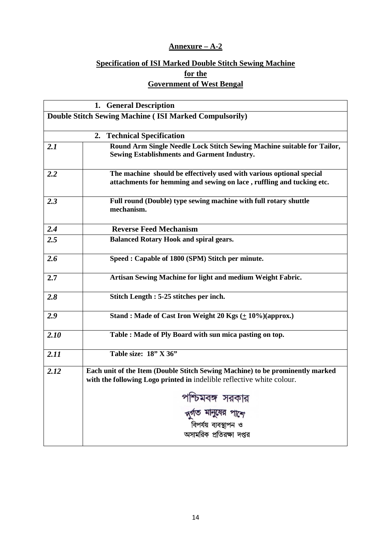#### **Annexure – A-2**

### **Specification of ISI Marked Double Stitch Sewing Machine**

**for the** 

|--|

|      | 1. General Description                                                                                                                                 |
|------|--------------------------------------------------------------------------------------------------------------------------------------------------------|
|      | <b>Double Stitch Sewing Machine (ISI Marked Compulsorily)</b>                                                                                          |
|      |                                                                                                                                                        |
|      | 2. Technical Specification                                                                                                                             |
| 2.1  | Round Arm Single Needle Lock Stitch Sewing Machine suitable for Tailor,<br><b>Sewing Establishments and Garment Industry.</b>                          |
| 2.2  | The machine should be effectively used with various optional special<br>attachments for hemming and sewing on lace, ruffling and tucking etc.          |
| 2.3  | Full round (Double) type sewing machine with full rotary shuttle<br>mechanism.                                                                         |
| 2.4  | <b>Reverse Feed Mechanism</b>                                                                                                                          |
| 2.5  | <b>Balanced Rotary Hook and spiral gears.</b>                                                                                                          |
| 2.6  | Speed: Capable of 1800 (SPM) Stitch per minute.                                                                                                        |
| 2.7  | Artisan Sewing Machine for light and medium Weight Fabric.                                                                                             |
| 2.8  | Stitch Length : 5-25 stitches per inch.                                                                                                                |
| 2.9  | Stand: Made of Cast Iron Weight 20 Kgs $(+ 10\%)$ (approx.)                                                                                            |
| 2.10 | Table : Made of Ply Board with sun mica pasting on top.                                                                                                |
| 2.11 | Table size: $18"$ X 36"                                                                                                                                |
| 2.12 | Each unit of the Item (Double Stitch Sewing Machine) to be prominently marked<br>with the following Logo printed in indelible reflective white colour. |
|      | পশ্চিমবঙ্গ সরকার                                                                                                                                       |
|      | দুৰ্গত মানুষের পাশে                                                                                                                                    |
|      | বিপর্যয় ব্যবস্থাপন ও                                                                                                                                  |
|      | অসামরিক প্রতিরক্ষা দপ্তর                                                                                                                               |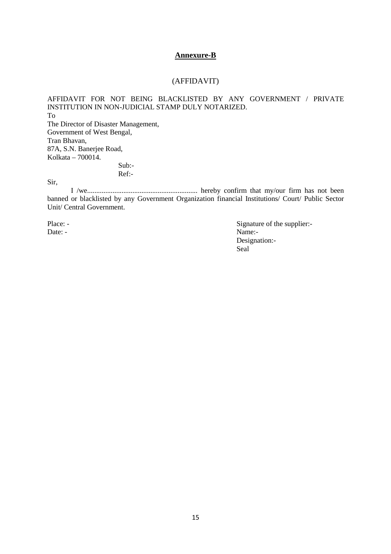#### **Annexure-B**

#### (AFFIDAVIT)

AFFIDAVIT FOR NOT BEING BLACKLISTED BY ANY GOVERNMENT / PRIVATE INSTITUTION IN NON-JUDICIAL STAMP DULY NOTARIZED. To The Director of Disaster Management, Government of West Bengal, Tran Bhavan, 87A, S.N. Banerjee Road, Kolkata – 700014.

 Sub:- Ref:-

Sir,

 I /we............................................................. hereby confirm that my/our firm has not been banned or blacklisted by any Government Organization financial Institutions/ Court/ Public Sector Unit/ Central Government.

Place: -<br>
Date: -<br>
Date: -<br>
Date: -<br>
Name:-Name:-Designation:-<br>Seal Seal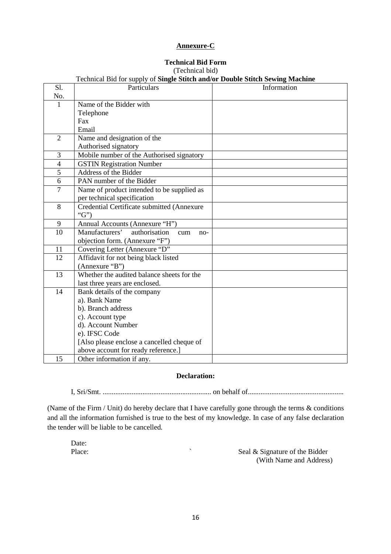#### **Annexure-C**

#### **Technical Bid Form**

#### (Technical bid)

|                | Technical Bid for supply of Single Stitch and/or Double Stitch Sewing Machine |             |
|----------------|-------------------------------------------------------------------------------|-------------|
| S1.            | Particulars                                                                   | Information |
| No.            |                                                                               |             |
| $\mathbf{1}$   | Name of the Bidder with                                                       |             |
|                | Telephone                                                                     |             |
|                | Fax                                                                           |             |
|                | Email                                                                         |             |
| $\overline{2}$ | Name and designation of the                                                   |             |
|                | Authorised signatory                                                          |             |
| 3              | Mobile number of the Authorised signatory                                     |             |
| $\overline{4}$ | <b>GSTIN Registration Number</b>                                              |             |
| 5              | Address of the Bidder                                                         |             |
| 6              | PAN number of the Bidder                                                      |             |
| $\overline{7}$ | Name of product intended to be supplied as                                    |             |
|                | per technical specification                                                   |             |
| 8              | Credential Certificate submitted (Annexure                                    |             |
|                | " $G$ ")                                                                      |             |
| 9              | Annual Accounts (Annexure "H")                                                |             |
| 10             | Manufacturers'<br>authorisation<br>cum<br>$no-$                               |             |
|                | objection form. (Annexure "F")                                                |             |
| 11             | Covering Letter (Annexure "D"                                                 |             |
| 12             | Affidavit for not being black listed                                          |             |
|                | (Annexure "B")                                                                |             |
| 13             | Whether the audited balance sheets for the                                    |             |
|                | last three years are enclosed.                                                |             |
| 14             | Bank details of the company                                                   |             |
|                | a). Bank Name                                                                 |             |
|                | b). Branch address                                                            |             |
|                | c). Account type                                                              |             |
|                | d). Account Number                                                            |             |
|                | e). IFSC Code                                                                 |             |
|                | [Also please enclose a cancelled cheque of                                    |             |
|                | above account for ready reference.]                                           |             |
| 15             | Other information if any.                                                     |             |

#### **Declaration:**

I, Sri/Smt. ............................................................ on behalf of.....................................................

(Name of the Firm / Unit) do hereby declare that I have carefully gone through the terms & conditions and all the information furnished is true to the best of my knowledge. In case of any false declaration the tender will be liable to be cancelled.

Date:<br>Place:

Seal & Signature of the Bidder (With Name and Address)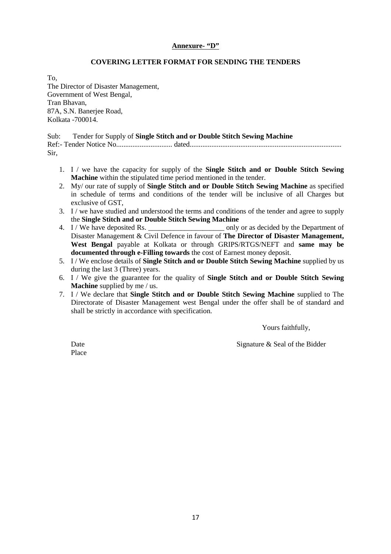#### **Annexure- "D"**

#### **COVERING LETTER FORMAT FOR SENDING THE TENDERS**

To, The Director of Disaster Management, Government of West Bengal, Tran Bhavan, 87A, S.N. Banerjee Road, Kolkata -700014.

Sub: Tender for Supply of **Single Stitch and or Double Stitch Sewing Machine**  Ref:- Tender Notice No............................... dated.................................................................................... Sir,

- 1. I / we have the capacity for supply of the **Single Stitch and or Double Stitch Sewing Machine** within the stipulated time period mentioned in the tender.
- 2. My/ our rate of supply of **Single Stitch and or Double Stitch Sewing Machine** as specified in schedule of terms and conditions of the tender will be inclusive of all Charges but exclusive of GST,
- 3. I / we have studied and understood the terms and conditions of the tender and agree to supply the **Single Stitch and or Double Stitch Sewing Machine**
- 4. I / We have deposited Rs.  $\qquad \qquad \text{only or as decided by the Department of}$ Disaster Management & Civil Defence in favour of **The Director of Disaster Management, West Bengal** payable at Kolkata or through GRIPS/RTGS/NEFT and **same may be documented through e-Filling towards** the cost of Earnest money deposit.
- 5. I / We enclose details of **Single Stitch and or Double Stitch Sewing Machine** supplied by us during the last 3 (Three) years.
- 6. I / We give the guarantee for the quality of **Single Stitch and or Double Stitch Sewing Machine** supplied by me / us.
- 7. I / We declare that **Single Stitch and or Double Stitch Sewing Machine** supplied to The Directorate of Disaster Management west Bengal under the offer shall be of standard and shall be strictly in accordance with specification.

Yours faithfully,

Place

Date Signature & Seal of the Bidder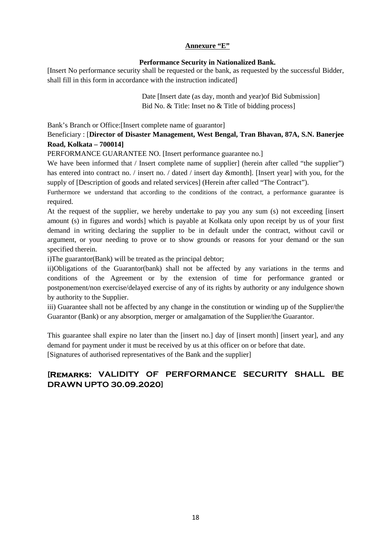#### **Annexure "E"**

#### **Performance Security in Nationalized Bank.**

[Insert No performance security shall be requested or the bank, as requested by the successful Bidder, shall fill in this form in accordance with the instruction indicated]

> Date [Insert date (as day, month and year)of Bid Submission] Bid No. & Title: Inset no & Title of bidding process]

Bank's Branch or Office:[Insert complete name of guarantor]

#### Beneficiary : [**Director of Disaster Management, West Bengal, Tran Bhavan, 87A, S.N. Banerjee Road, Kolkata – 700014]**

PERFORMANCE GUARANTEE NO. [Insert performance guarantee no.]

We have been informed that / Insert complete name of supplier] (herein after called "the supplier") has entered into contract no. / insert no. / dated / insert day &month]. [Insert year] with you, for the supply of [Description of goods and related services] (Herein after called "The Contract").

Furthermore we understand that according to the conditions of the contract, a performance guarantee is required.

At the request of the supplier, we hereby undertake to pay you any sum (s) not exceeding [insert amount (s) in figures and words] which is payable at Kolkata only upon receipt by us of your first demand in writing declaring the supplier to be in default under the contract, without cavil or argument, or your needing to prove or to show grounds or reasons for your demand or the sun specified therein.

i)The guarantor(Bank) will be treated as the principal debtor;

ii)Obligations of the Guarantor(bank) shall not be affected by any variations in the terms and conditions of the Agreement or by the extension of time for performance granted or postponement/non exercise/delayed exercise of any of its rights by authority or any indulgence shown by authority to the Supplier.

iii) Guarantee shall not be affected by any change in the constitution or winding up of the Supplier/the Guarantor (Bank) or any absorption, merger or amalgamation of the Supplier/the Guarantor.

This guarantee shall expire no later than the [insert no.] day of [insert month] [insert year], and any demand for payment under it must be received by us at this officer on or before that date. [Signatures of authorised representatives of the Bank and the supplier]

#### **[Remarks: VALIDITY OF PERFORMANCE SECURITY SHALL BE DRAWN UPTO 30.09.2020]**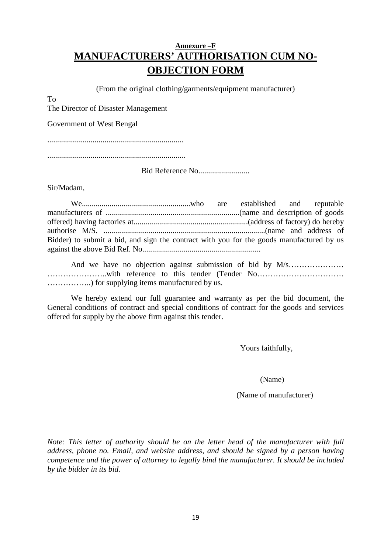#### **Annexure –F MANUFACTURERS' AUTHORISATION CUM NO-OBJECTION FORM**

(From the original clothing/garments/equipment manufacturer)

To

The Director of Disaster Management

Government of West Bengal

.....................................................................

......................................................................

Bid Reference No..........................

Sir/Madam,

| Bidder) to submit a bid, and sign the contract with you for the goods manufactured by us |  |  |  |
|------------------------------------------------------------------------------------------|--|--|--|
|                                                                                          |  |  |  |

 And we have no objection against submission of bid by M/s………………… …………………..with reference to this tender (Tender No…………………………… ……………..) for supplying items manufactured by us.

We hereby extend our full guarantee and warranty as per the bid document, the General conditions of contract and special conditions of contract for the goods and services offered for supply by the above firm against this tender.

Yours faithfully,

(Name)

(Name of manufacturer)

*Note: This letter of authority should be on the letter head of the manufacturer with full address, phone no. Email, and website address, and should be signed by a person having competence and the power of attorney to legally bind the manufacturer. It should be included by the bidder in its bid.*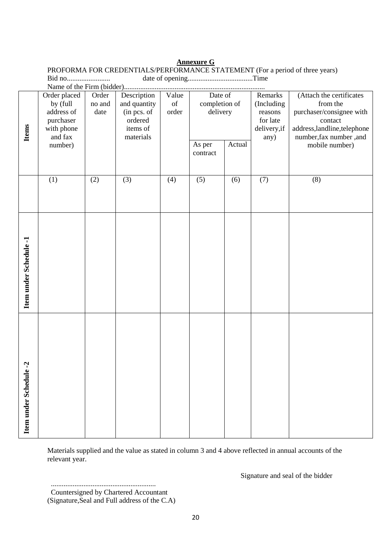#### **Annexure G**

PROFORMA FOR CREDENTIALS/PERFORMANCE STATEMENT (For a period of three years) Bid no........................ date of opening....................................Time

| <b>Items</b>              | Order placed<br>by (full<br>address of<br>purchaser<br>with phone<br>and fax | Order<br>no and<br>date<br>ordered<br>items of | Description<br>and quantity<br>(in pcs. of<br>materials | Value<br>$% \left( \left( \mathcal{A},\mathcal{A}\right) \right) =\left( \mathcal{A},\mathcal{A}\right)$ of<br>order | Date of<br>completion of<br>delivery |        | Remarks<br>(Including<br>reasons<br>for late<br>delivery, if<br>any) | (Attach the certificates<br>from the<br>purchaser/consignee with<br>contact<br>address, landline, telephone<br>number, fax number, and |
|---------------------------|------------------------------------------------------------------------------|------------------------------------------------|---------------------------------------------------------|----------------------------------------------------------------------------------------------------------------------|--------------------------------------|--------|----------------------------------------------------------------------|----------------------------------------------------------------------------------------------------------------------------------------|
|                           | number)                                                                      |                                                |                                                         |                                                                                                                      | As per<br>contract                   | Actual |                                                                      | mobile number)                                                                                                                         |
|                           | (1)                                                                          | (2)                                            | (3)                                                     | (4)                                                                                                                  | (5)                                  | (6)    | (7)                                                                  | (8)                                                                                                                                    |
| Item under Schedule-1     |                                                                              |                                                |                                                         |                                                                                                                      |                                      |        |                                                                      |                                                                                                                                        |
| ule-2<br>Item under Sched |                                                                              |                                                |                                                         |                                                                                                                      |                                      |        |                                                                      |                                                                                                                                        |

Materials supplied and the value as stated in column 3 and 4 above reflected in annual accounts of the relevant year.

Signature and seal of the bidder

..........................................................

Countersigned by Chartered Accountant

<sup>(</sup>Signature,Seal and Full address of the C.A)